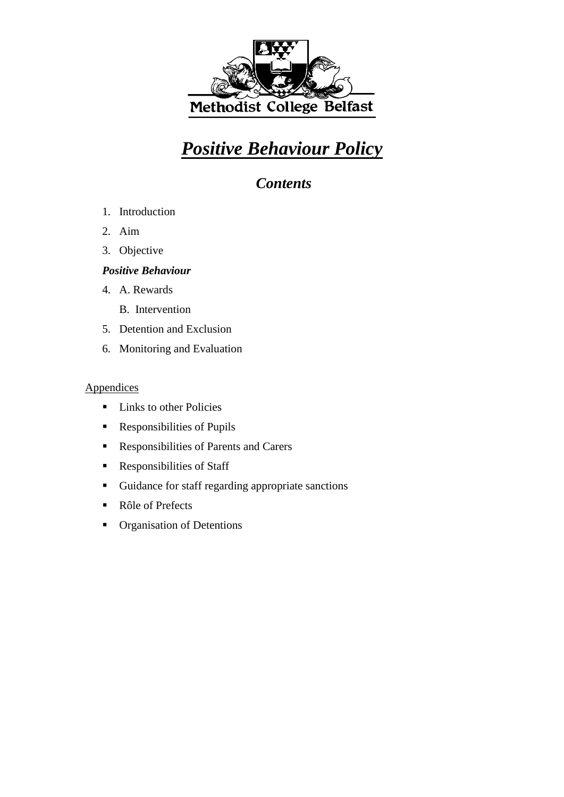

# *Positive Behaviour Policy*

*Contents*

- 1. Introduction
- 2. Aim
- 3. Objective

#### *Positive Behaviour*

- 4. A. Rewards
	- B. Intervention
- 5. Detention and Exclusion
- 6. Monitoring and Evaluation

#### **Appendices**

- **Links to other Policies**
- Responsibilities of Pupils
- Responsibilities of Parents and Carers
- **Responsibilities of Staff**
- Guidance for staff regarding appropriate sanctions
- Rôle of Prefects
- **•** Organisation of Detentions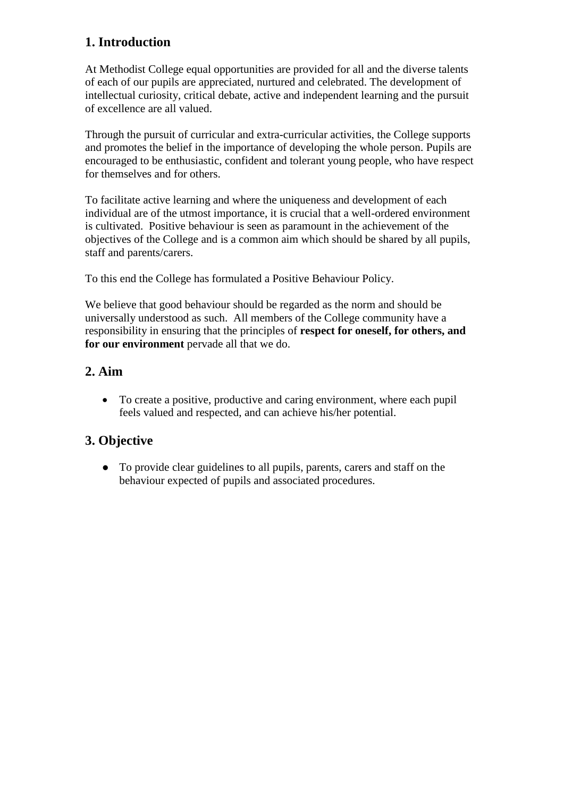# **1. Introduction**

At Methodist College equal opportunities are provided for all and the diverse talents of each of our pupils are appreciated, nurtured and celebrated. The development of intellectual curiosity, critical debate, active and independent learning and the pursuit of excellence are all valued.

Through the pursuit of curricular and extra-curricular activities, the College supports and promotes the belief in the importance of developing the whole person. Pupils are encouraged to be enthusiastic, confident and tolerant young people, who have respect for themselves and for others.

To facilitate active learning and where the uniqueness and development of each individual are of the utmost importance, it is crucial that a well-ordered environment is cultivated. Positive behaviour is seen as paramount in the achievement of the objectives of the College and is a common aim which should be shared by all pupils, staff and parents/carers.

To this end the College has formulated a Positive Behaviour Policy.

We believe that good behaviour should be regarded as the norm and should be universally understood as such. All members of the College community have a responsibility in ensuring that the principles of **respect for oneself, for others, and for our environment** pervade all that we do.

# **2. Aim**

 To create a positive, productive and caring environment, where each pupil feels valued and respected, and can achieve his/her potential.

### **3. Objective**

 To provide clear guidelines to all pupils, parents, carers and staff on the behaviour expected of pupils and associated procedures.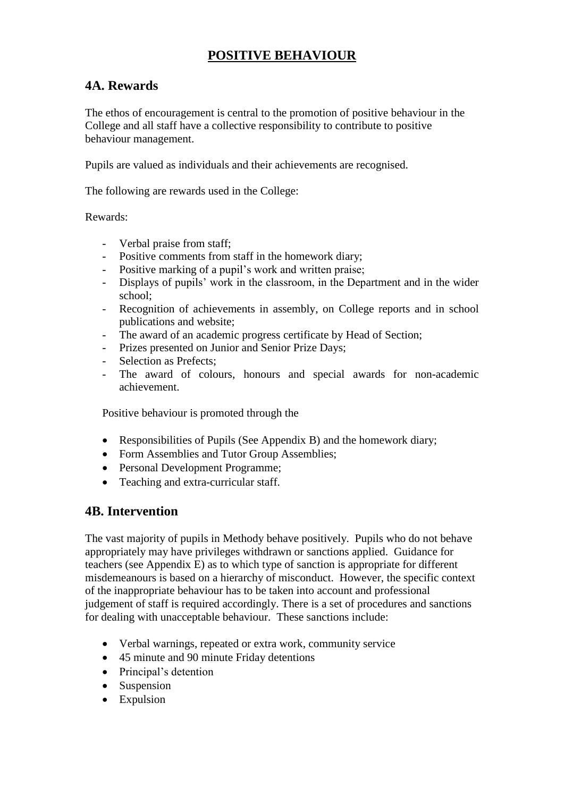# **POSITIVE BEHAVIOUR**

### **4A. Rewards**

The ethos of encouragement is central to the promotion of positive behaviour in the College and all staff have a collective responsibility to contribute to positive behaviour management.

Pupils are valued as individuals and their achievements are recognised.

The following are rewards used in the College:

Rewards:

- Verbal praise from staff;
- Positive comments from staff in the homework diary;
- Positive marking of a pupil's work and written praise;
- Displays of pupils' work in the classroom, in the Department and in the wider school;
- Recognition of achievements in assembly, on College reports and in school publications and website;
- The award of an academic progress certificate by Head of Section;
- Prizes presented on Junior and Senior Prize Days;
- Selection as Prefects:
- The award of colours, honours and special awards for non-academic achievement.

Positive behaviour is promoted through the

- Responsibilities of Pupils (See Appendix B) and the homework diary;
- Form Assemblies and Tutor Group Assemblies;
- Personal Development Programme;
- Teaching and extra-curricular staff.

### **4B. Intervention**

The vast majority of pupils in Methody behave positively. Pupils who do not behave appropriately may have privileges withdrawn or sanctions applied. Guidance for teachers (see Appendix E) as to which type of sanction is appropriate for different misdemeanours is based on a hierarchy of misconduct. However, the specific context of the inappropriate behaviour has to be taken into account and professional judgement of staff is required accordingly. There is a set of procedures and sanctions for dealing with unacceptable behaviour. These sanctions include:

- Verbal warnings, repeated or extra work, community service
- 45 minute and 90 minute Friday detentions
- Principal's detention
- Suspension
- Expulsion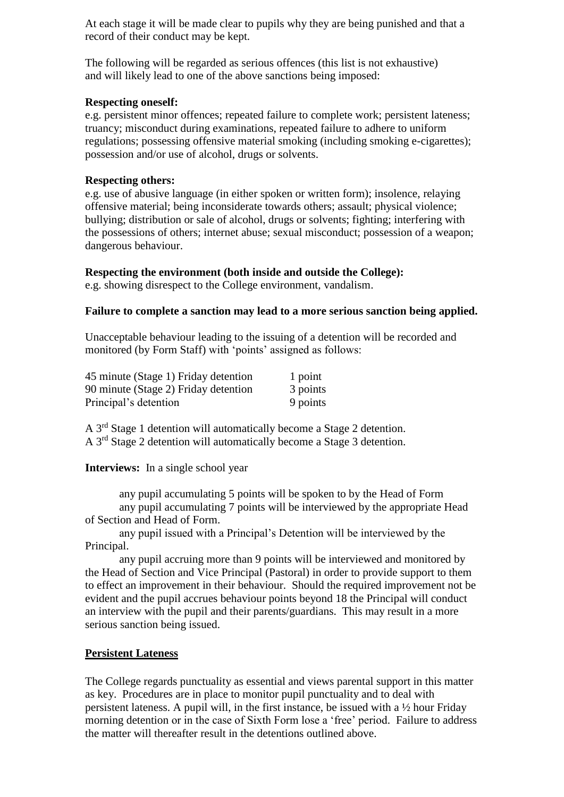At each stage it will be made clear to pupils why they are being punished and that a record of their conduct may be kept.

The following will be regarded as serious offences (this list is not exhaustive) and will likely lead to one of the above sanctions being imposed:

#### **Respecting oneself:**

e.g. persistent minor offences; repeated failure to complete work; persistent lateness; truancy; misconduct during examinations, repeated failure to adhere to uniform regulations; possessing offensive material smoking (including smoking e-cigarettes); possession and/or use of alcohol, drugs or solvents.

#### **Respecting others:**

e.g. use of abusive language (in either spoken or written form); insolence, relaying offensive material; being inconsiderate towards others; assault; physical violence; bullying; distribution or sale of alcohol, drugs or solvents; fighting; interfering with the possessions of others; internet abuse; sexual misconduct; possession of a weapon; dangerous behaviour.

#### **Respecting the environment (both inside and outside the College):**

e.g. showing disrespect to the College environment, vandalism.

#### **Failure to complete a sanction may lead to a more serious sanction being applied.**

Unacceptable behaviour leading to the issuing of a detention will be recorded and monitored (by Form Staff) with 'points' assigned as follows:

| 45 minute (Stage 1) Friday detention | 1 point  |
|--------------------------------------|----------|
| 90 minute (Stage 2) Friday detention | 3 points |
| Principal's detention                | 9 points |

A 3rd Stage 1 detention will automatically become a Stage 2 detention. A 3rd Stage 2 detention will automatically become a Stage 3 detention.

#### **Interviews:** In a single school year

any pupil accumulating 5 points will be spoken to by the Head of Form any pupil accumulating 7 points will be interviewed by the appropriate Head of Section and Head of Form.

any pupil issued with a Principal's Detention will be interviewed by the Principal.

any pupil accruing more than 9 points will be interviewed and monitored by the Head of Section and Vice Principal (Pastoral) in order to provide support to them to effect an improvement in their behaviour. Should the required improvement not be evident and the pupil accrues behaviour points beyond 18 the Principal will conduct an interview with the pupil and their parents/guardians. This may result in a more serious sanction being issued.

#### **Persistent Lateness**

The College regards punctuality as essential and views parental support in this matter as key. Procedures are in place to monitor pupil punctuality and to deal with persistent lateness. A pupil will, in the first instance, be issued with a ½ hour Friday morning detention or in the case of Sixth Form lose a 'free' period. Failure to address the matter will thereafter result in the detentions outlined above.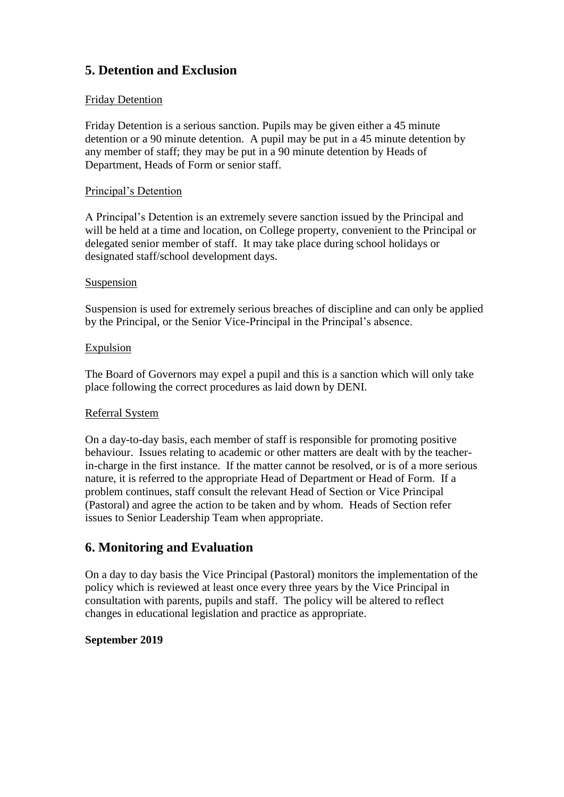# **5. Detention and Exclusion**

#### Friday Detention

Friday Detention is a serious sanction. Pupils may be given either a 45 minute detention or a 90 minute detention. A pupil may be put in a 45 minute detention by any member of staff; they may be put in a 90 minute detention by Heads of Department, Heads of Form or senior staff.

#### Principal's Detention

A Principal's Detention is an extremely severe sanction issued by the Principal and will be held at a time and location, on College property, convenient to the Principal or delegated senior member of staff. It may take place during school holidays or designated staff/school development days.

#### Suspension

Suspension is used for extremely serious breaches of discipline and can only be applied by the Principal, or the Senior Vice-Principal in the Principal's absence.

#### Expulsion

The Board of Governors may expel a pupil and this is a sanction which will only take place following the correct procedures as laid down by DENI.

#### Referral System

On a day-to-day basis, each member of staff is responsible for promoting positive behaviour. Issues relating to academic or other matters are dealt with by the teacherin-charge in the first instance. If the matter cannot be resolved, or is of a more serious nature, it is referred to the appropriate Head of Department or Head of Form. If a problem continues, staff consult the relevant Head of Section or Vice Principal (Pastoral) and agree the action to be taken and by whom. Heads of Section refer issues to Senior Leadership Team when appropriate.

### **6. Monitoring and Evaluation**

On a day to day basis the Vice Principal (Pastoral) monitors the implementation of the policy which is reviewed at least once every three years by the Vice Principal in consultation with parents, pupils and staff. The policy will be altered to reflect changes in educational legislation and practice as appropriate.

#### **September 2019**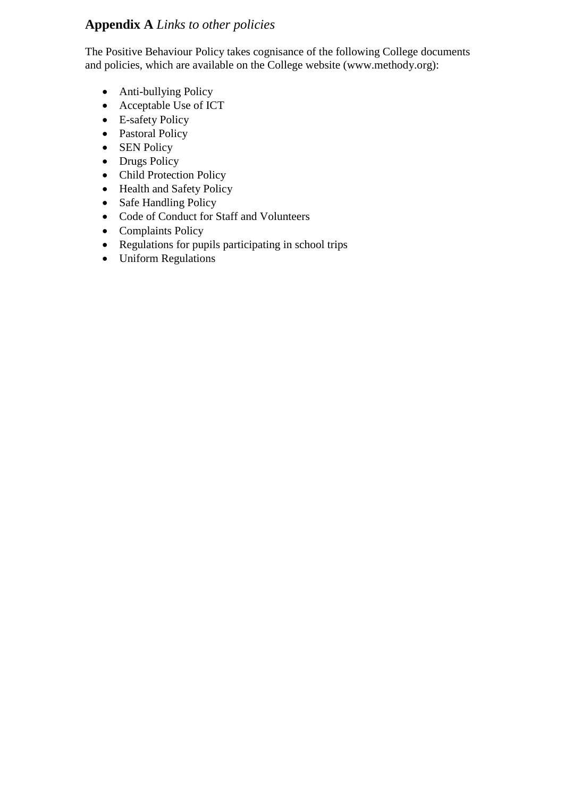# **Appendix A** *Links to other policies*

The Positive Behaviour Policy takes cognisance of the following College documents and policies, which are available on the College website (www.methody.org):

- Anti-bullying Policy
- Acceptable Use of ICT
- E-safety Policy
- Pastoral Policy
- SEN Policy
- Drugs Policy
- Child Protection Policy
- Health and Safety Policy
- Safe Handling Policy
- Code of Conduct for Staff and Volunteers
- Complaints Policy
- Regulations for pupils participating in school trips
- Uniform Regulations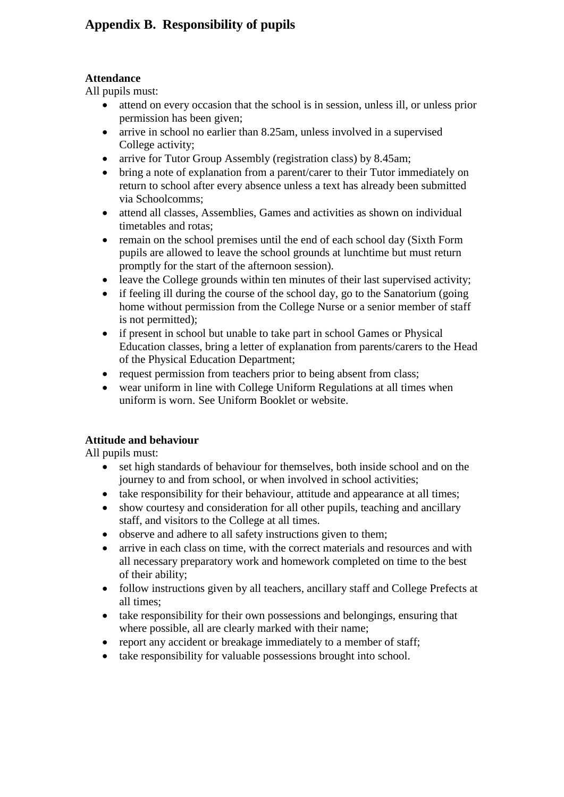# **Appendix B. Responsibility of pupils**

#### **Attendance**

All pupils must:

- attend on every occasion that the school is in session, unless ill, or unless prior permission has been given;
- arrive in school no earlier than 8.25am, unless involved in a supervised College activity;
- arrive for Tutor Group Assembly (registration class) by 8.45am;
- bring a note of explanation from a parent/carer to their Tutor immediately on return to school after every absence unless a text has already been submitted via Schoolcomms;
- attend all classes, Assemblies, Games and activities as shown on individual timetables and rotas;
- remain on the school premises until the end of each school day (Sixth Form pupils are allowed to leave the school grounds at lunchtime but must return promptly for the start of the afternoon session).
- leave the College grounds within ten minutes of their last supervised activity;
- if feeling ill during the course of the school day, go to the Sanatorium (going home without permission from the College Nurse or a senior member of staff is not permitted);
- if present in school but unable to take part in school Games or Physical Education classes, bring a letter of explanation from parents/carers to the Head of the Physical Education Department;
- request permission from teachers prior to being absent from class;
- wear uniform in line with College Uniform Regulations at all times when uniform is worn. See Uniform Booklet or website.

### **Attitude and behaviour**

All pupils must:

- set high standards of behaviour for themselves, both inside school and on the journey to and from school, or when involved in school activities;
- take responsibility for their behaviour, attitude and appearance at all times;
- show courtesy and consideration for all other pupils, teaching and ancillary staff, and visitors to the College at all times.
- observe and adhere to all safety instructions given to them;
- arrive in each class on time, with the correct materials and resources and with all necessary preparatory work and homework completed on time to the best of their ability;
- follow instructions given by all teachers, ancillary staff and College Prefects at all times;
- take responsibility for their own possessions and belongings, ensuring that where possible, all are clearly marked with their name;
- report any accident or breakage immediately to a member of staff;
- take responsibility for valuable possessions brought into school.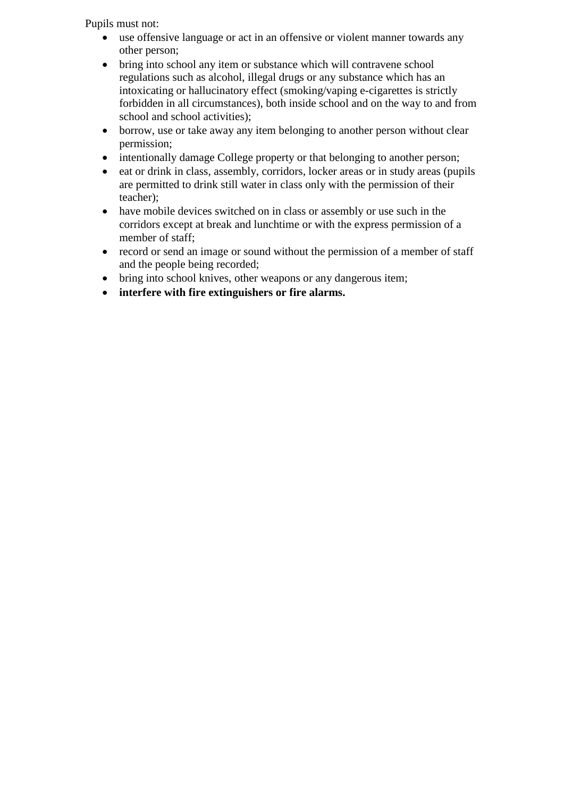Pupils must not:

- use offensive language or act in an offensive or violent manner towards any other person;
- bring into school any item or substance which will contravene school regulations such as alcohol, illegal drugs or any substance which has an intoxicating or hallucinatory effect (smoking/vaping e-cigarettes is strictly forbidden in all circumstances), both inside school and on the way to and from school and school activities);
- borrow, use or take away any item belonging to another person without clear permission;
- intentionally damage College property or that belonging to another person;
- $\bullet$  eat or drink in class, assembly, corridors, locker areas or in study areas (pupils are permitted to drink still water in class only with the permission of their teacher);
- have mobile devices switched on in class or assembly or use such in the corridors except at break and lunchtime or with the express permission of a member of staff;
- record or send an image or sound without the permission of a member of staff and the people being recorded;
- bring into school knives, other weapons or any dangerous item;
- **interfere with fire extinguishers or fire alarms.**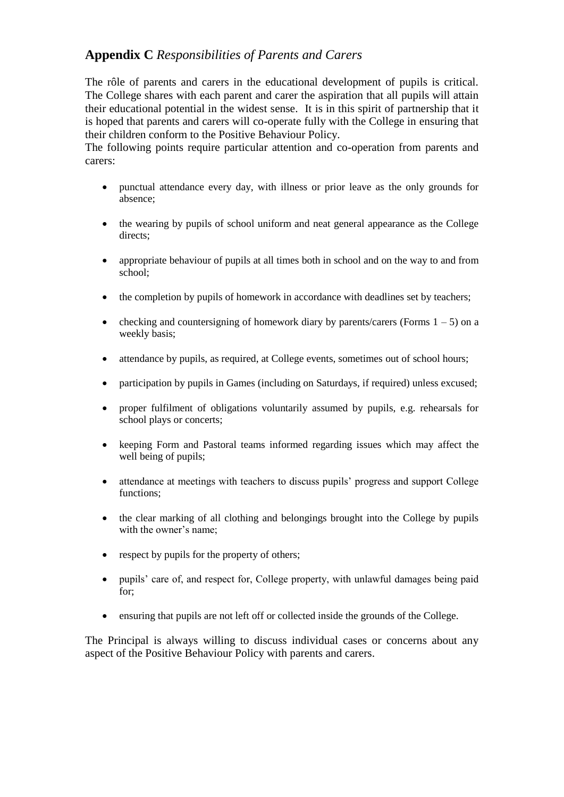## **Appendix C** *Responsibilities of Parents and Carers*

The rôle of parents and carers in the educational development of pupils is critical. The College shares with each parent and carer the aspiration that all pupils will attain their educational potential in the widest sense. It is in this spirit of partnership that it is hoped that parents and carers will co-operate fully with the College in ensuring that their children conform to the Positive Behaviour Policy.

The following points require particular attention and co-operation from parents and carers:

- punctual attendance every day, with illness or prior leave as the only grounds for absence;
- the wearing by pupils of school uniform and neat general appearance as the College directs;
- appropriate behaviour of pupils at all times both in school and on the way to and from school;
- the completion by pupils of homework in accordance with deadlines set by teachers;
- checking and countersigning of homework diary by parents/carers (Forms  $1 5$ ) on a weekly basis;
- attendance by pupils, as required, at College events, sometimes out of school hours;
- participation by pupils in Games (including on Saturdays, if required) unless excused;
- proper fulfilment of obligations voluntarily assumed by pupils, e.g. rehearsals for school plays or concerts;
- keeping Form and Pastoral teams informed regarding issues which may affect the well being of pupils;
- attendance at meetings with teachers to discuss pupils' progress and support College functions;
- the clear marking of all clothing and belongings brought into the College by pupils with the owner's name;
- respect by pupils for the property of others;
- pupils' care of, and respect for, College property, with unlawful damages being paid for;
- ensuring that pupils are not left off or collected inside the grounds of the College.

The Principal is always willing to discuss individual cases or concerns about any aspect of the Positive Behaviour Policy with parents and carers.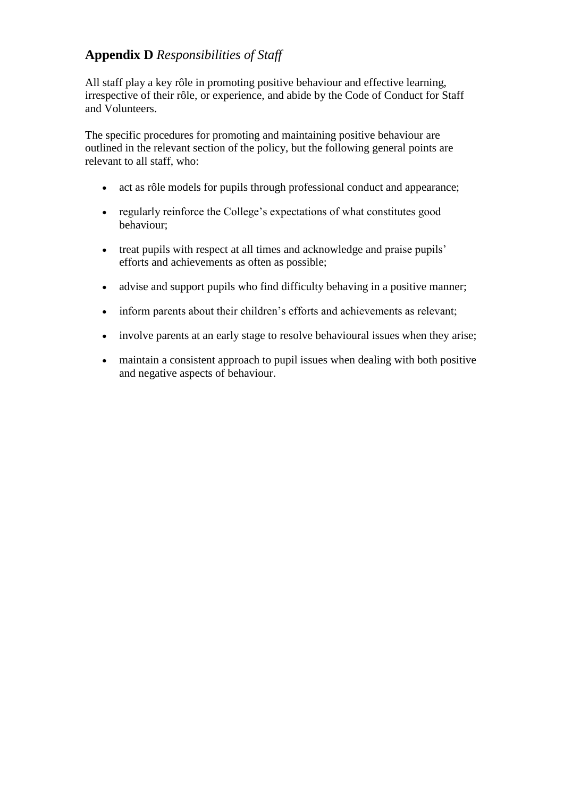# **Appendix D** *Responsibilities of Staff*

All staff play a key rôle in promoting positive behaviour and effective learning, irrespective of their rôle, or experience, and abide by the Code of Conduct for Staff and Volunteers.

The specific procedures for promoting and maintaining positive behaviour are outlined in the relevant section of the policy, but the following general points are relevant to all staff, who:

- act as rôle models for pupils through professional conduct and appearance;
- regularly reinforce the College's expectations of what constitutes good behaviour;
- treat pupils with respect at all times and acknowledge and praise pupils' efforts and achievements as often as possible;
- advise and support pupils who find difficulty behaving in a positive manner;
- inform parents about their children's efforts and achievements as relevant;
- involve parents at an early stage to resolve behavioural issues when they arise;
- maintain a consistent approach to pupil issues when dealing with both positive and negative aspects of behaviour.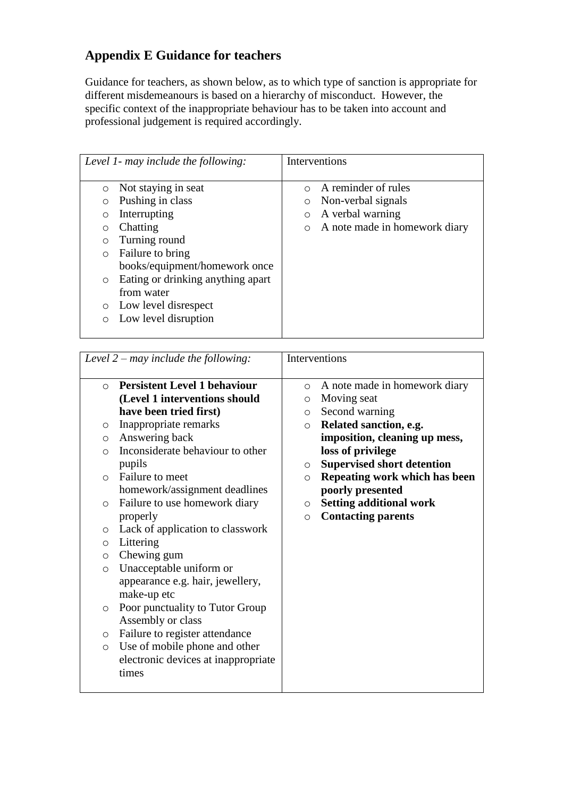# **Appendix E Guidance for teachers**

Guidance for teachers, as shown below, as to which type of sanction is appropriate for different misdemeanours is based on a hierarchy of misconduct. However, the specific context of the inappropriate behaviour has to be taken into account and professional judgement is required accordingly.

| Level 1- may include the following:                                                                                                                                                                                                                                                                                                       | Interventions                                                                                                                                 |
|-------------------------------------------------------------------------------------------------------------------------------------------------------------------------------------------------------------------------------------------------------------------------------------------------------------------------------------------|-----------------------------------------------------------------------------------------------------------------------------------------------|
| Not staying in seat<br>$\circ$<br>Pushing in class<br>$\circ$<br>Interrupting<br>O<br>Chatting<br>$\circ$<br>Turning round<br>$\circ$<br>Failure to bring<br>$\circ$<br>books/equipment/homework once<br>Eating or drinking anything apart<br>$\circ$<br>from water<br>Low level disrespect<br>$\circ$<br>Low level disruption<br>$\circ$ | A reminder of rules<br>$\bigcirc$<br>Non-verbal signals<br>$\circ$<br>A verbal warning<br>$\circ$<br>A note made in homework diary<br>$\circ$ |
|                                                                                                                                                                                                                                                                                                                                           |                                                                                                                                               |

| Level $2 -$ may include the following:                                                                                                                                                                                                                                                                                                                                                                                                                                                                                                                                                                             | Interventions                                                                                                                                                                                                                                                                                                                                                                                   |
|--------------------------------------------------------------------------------------------------------------------------------------------------------------------------------------------------------------------------------------------------------------------------------------------------------------------------------------------------------------------------------------------------------------------------------------------------------------------------------------------------------------------------------------------------------------------------------------------------------------------|-------------------------------------------------------------------------------------------------------------------------------------------------------------------------------------------------------------------------------------------------------------------------------------------------------------------------------------------------------------------------------------------------|
| <b>Persistent Level 1 behaviour</b><br>$\Omega$<br>(Level 1 interventions should<br>have been tried first)<br>Inappropriate remarks<br>$\circ$<br>Answering back<br>$\circ$<br>Inconsiderate behaviour to other<br>$\circ$<br>pupils<br>Failure to meet<br>◯<br>homework/assignment deadlines<br>Failure to use homework diary<br>$\circ$<br>properly<br>Lack of application to classwork<br>$\circ$<br>Littering<br>$\circ$<br>Chewing gum<br>$\circ$<br>Unacceptable uniform or<br>$\circ$<br>appearance e.g. hair, jewellery,<br>make-up etc<br>Poor punctuality to Tutor Group<br>$\circ$<br>Assembly or class | A note made in homework diary<br>$\circ$<br>Moving seat<br>$\circ$<br>Second warning<br>$\circ$<br>Related sanction, e.g.<br>$\circ$<br>imposition, cleaning up mess,<br>loss of privilege<br><b>Supervised short detention</b><br>$\circ$<br>Repeating work which has been<br>$\circ$<br>poorly presented<br><b>Setting additional work</b><br>$\circ$<br><b>Contacting parents</b><br>$\circ$ |
| Failure to register attendance<br>$\circ$<br>Use of mobile phone and other<br>$\circ$<br>electronic devices at inappropriate<br>times                                                                                                                                                                                                                                                                                                                                                                                                                                                                              |                                                                                                                                                                                                                                                                                                                                                                                                 |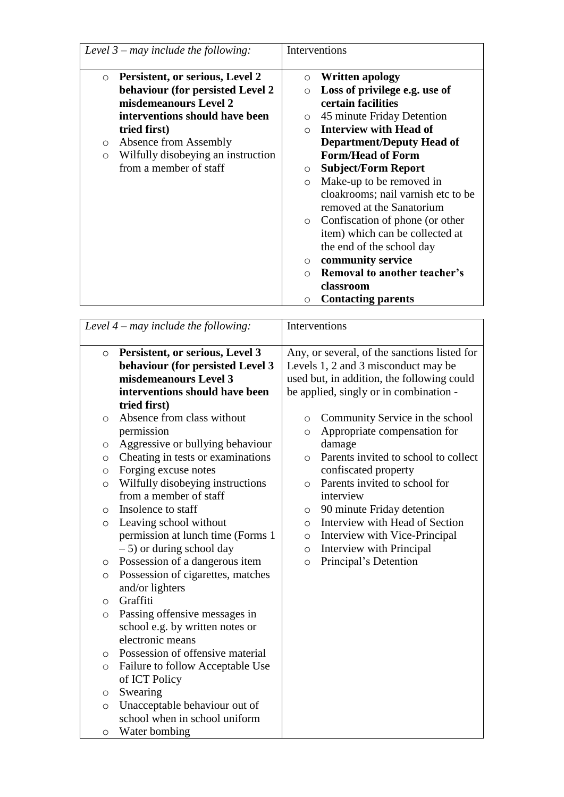| <b>Written apology</b><br>Loss of privilege e.g. use of<br>certain facilities<br>45 minute Friday Detention<br><b>Interview with Head of</b><br><b>Department/Deputy Head of</b><br><b>Form/Head of Form</b><br><b>Subject/Form Report</b><br>Make-up to be removed in<br>cloakrooms; nail varnish etc to be<br>removed at the Sanatorium<br>Confiscation of phone (or other<br>item) which can be collected at<br>the end of the school day<br>community service<br><b>Removal to another teacher's</b><br>classroom<br><b>Contacting parents</b> |
|----------------------------------------------------------------------------------------------------------------------------------------------------------------------------------------------------------------------------------------------------------------------------------------------------------------------------------------------------------------------------------------------------------------------------------------------------------------------------------------------------------------------------------------------------|
|                                                                                                                                                                                                                                                                                                                                                                                                                                                                                                                                                    |

|         | Level $4$ – may include the following: | Interventions                                   |
|---------|----------------------------------------|-------------------------------------------------|
| $\circ$ | Persistent, or serious, Level 3        | Any, or several, of the sanctions listed for    |
|         | behaviour (for persisted Level 3       | Levels 1, 2 and 3 misconduct may be             |
|         | misdemeanours Level 3                  | used but, in addition, the following could      |
|         | interventions should have been         | be applied, singly or in combination -          |
|         | tried first)                           |                                                 |
| O       | Absence from class without             | Community Service in the school<br>$\circ$      |
|         | permission                             | Appropriate compensation for<br>$\circ$         |
| O       | Aggressive or bullying behaviour       | damage                                          |
| O       | Cheating in tests or examinations      | Parents invited to school to collect<br>$\circ$ |
| $\circ$ | Forging excuse notes                   | confiscated property                            |
| O       | Wilfully disobeying instructions       | Parents invited to school for<br>$\circ$        |
|         | from a member of staff                 | interview                                       |
| O       | Insolence to staff                     | 90 minute Friday detention<br>$\circ$           |
| $\circ$ | Leaving school without                 | Interview with Head of Section<br>$\circ$       |
|         | permission at lunch time (Forms 1      | Interview with Vice-Principal<br>$\circ$        |
|         | $-5$ ) or during school day            | Interview with Principal<br>$\circ$             |
| O       | Possession of a dangerous item         | Principal's Detention<br>$\circ$                |
| O       | Possession of cigarettes, matches      |                                                 |
|         | and/or lighters                        |                                                 |
| $\circ$ | Graffiti                               |                                                 |
| $\circ$ | Passing offensive messages in          |                                                 |
|         | school e.g. by written notes or        |                                                 |
|         | electronic means                       |                                                 |
| $\circ$ | Possession of offensive material       |                                                 |
| O       | Failure to follow Acceptable Use       |                                                 |
|         | of ICT Policy                          |                                                 |
| $\circ$ | Swearing                               |                                                 |
| $\circ$ | Unacceptable behaviour out of          |                                                 |
|         | school when in school uniform          |                                                 |
| O       | Water bombing                          |                                                 |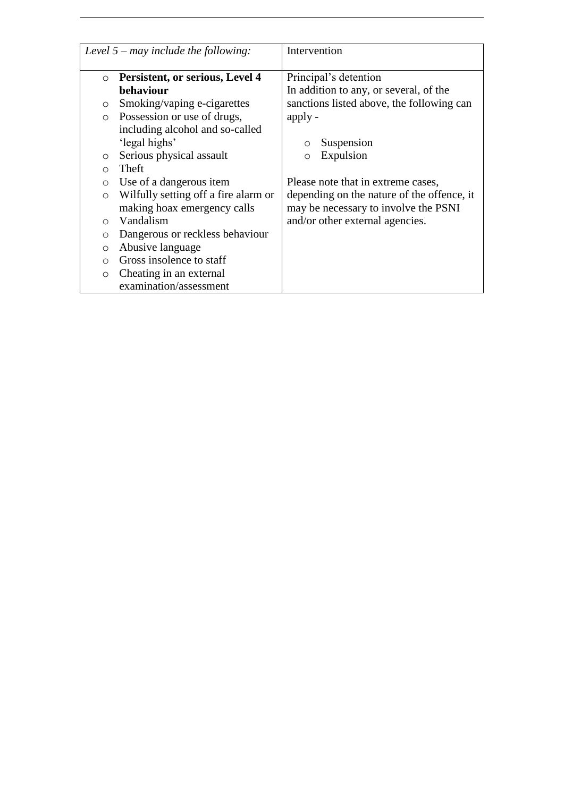|                         | Level $5 -$ may include the following:                                                                                                                         | Intervention                                                                                                                                     |
|-------------------------|----------------------------------------------------------------------------------------------------------------------------------------------------------------|--------------------------------------------------------------------------------------------------------------------------------------------------|
| $\circ$<br>O<br>$\circ$ | Persistent, or serious, Level 4<br>behaviour<br>Smoking/vaping e-cigarettes<br>Possession or use of drugs,<br>including alcohol and so-called<br>'legal highs' | Principal's detention<br>In addition to any, or several, of the<br>sanctions listed above, the following can<br>apply -<br>Suspension<br>$\circ$ |
| O                       | Serious physical assault                                                                                                                                       | Expulsion<br>O                                                                                                                                   |
| $\bigcirc$              | Theft                                                                                                                                                          |                                                                                                                                                  |
| $\circ$                 | Use of a dangerous item                                                                                                                                        | Please note that in extreme cases,                                                                                                               |
| $\circ$                 | Wilfully setting off a fire alarm or<br>making hoax emergency calls                                                                                            | depending on the nature of the offence, it<br>may be necessary to involve the PSNI                                                               |
| $\bigcirc$              | Vandalism                                                                                                                                                      | and/or other external agencies.                                                                                                                  |
| O                       | Dangerous or reckless behaviour                                                                                                                                |                                                                                                                                                  |
| $\circ$                 | Abusive language                                                                                                                                               |                                                                                                                                                  |
| $\circ$                 | Gross insolence to staff                                                                                                                                       |                                                                                                                                                  |
| $\circ$                 | Cheating in an external                                                                                                                                        |                                                                                                                                                  |
|                         | examination/assessment                                                                                                                                         |                                                                                                                                                  |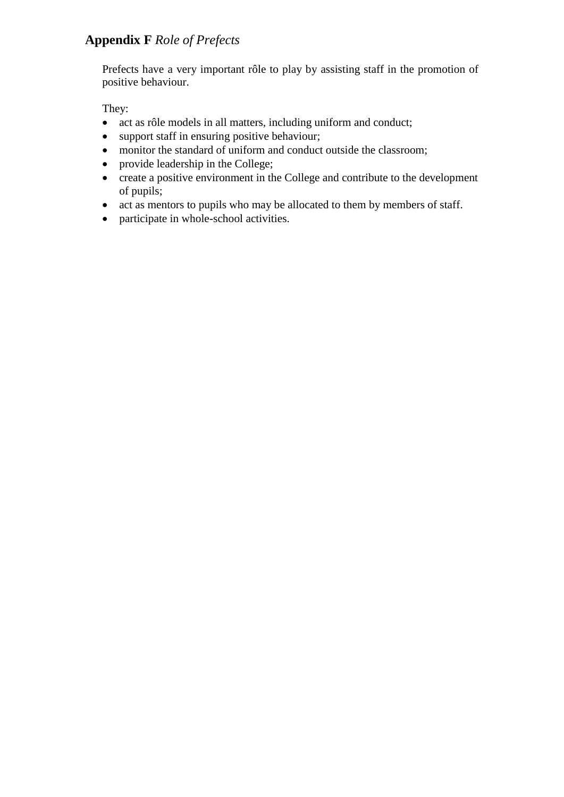# **Appendix F** *Role of Prefects*

Prefects have a very important rôle to play by assisting staff in the promotion of positive behaviour.

They:

- act as rôle models in all matters, including uniform and conduct;
- support staff in ensuring positive behaviour;
- monitor the standard of uniform and conduct outside the classroom;
- provide leadership in the College;
- create a positive environment in the College and contribute to the development of pupils;
- act as mentors to pupils who may be allocated to them by members of staff.
- participate in whole-school activities.